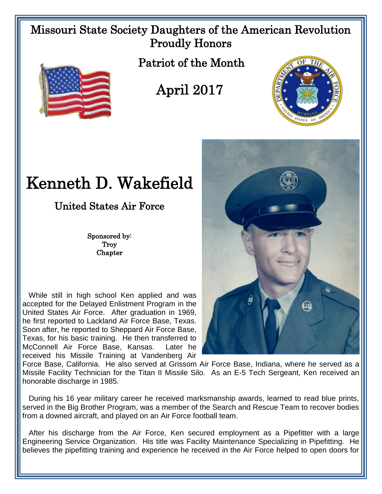## Missouri State Society Daughters of the American Revolution Proudly Honors



Patriot of the Month

## April 2017



## Kenneth D. Wakefield

United States Air Force

Sponsored by: **Troy Chapter** 

 While still in high school Ken applied and was accepted for the Delayed Enlistment Program in the United States Air Force. After graduation in 1969, he first reported to Lackland Air Force Base, Texas. Soon after, he reported to Sheppard Air Force Base, Texas, for his basic training. He then transferred to McConnell Air Force Base, Kansas. Later he received his Missile Training at Vandenberg Air



Force Base, California. He also served at Grissom Air Force Base, Indiana, where he served as a Missile Facility Technician for the Titan II Missile Silo. As an E-5 Tech Sergeant, Ken received an honorable discharge in 1985.

 During his 16 year military career he received marksmanship awards, learned to read blue prints, served in the Big Brother Program, was a member of the Search and Rescue Team to recover bodies from a downed aircraft, and played on an Air Force football team.

 After his discharge from the Air Force, Ken secured employment as a Pipefitter with a large Engineering Service Organization. His title was Facility Maintenance Specializing in Pipefitting. He believes the pipefitting training and experience he received in the Air Force helped to open doors for